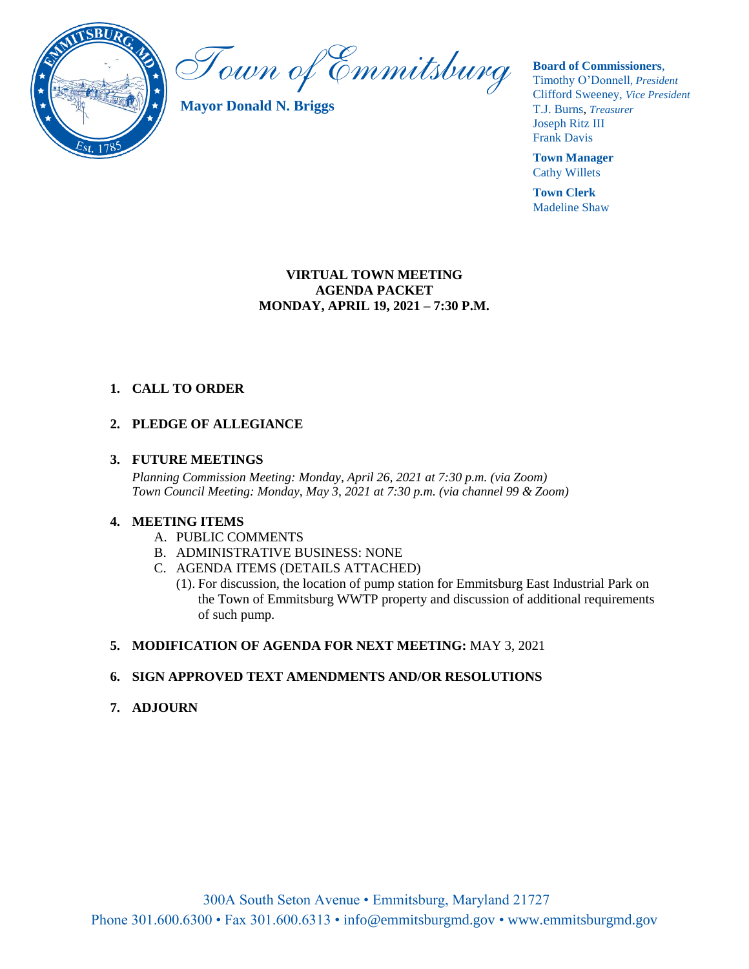

Town of Emmitsburg

**Mayor Donald N. Briggs**

**Board of Commissioners**,

Timothy O'Donnell*, President*  Clifford Sweeney, *Vice President* T.J. Burns, *Treasurer*  Joseph Ritz III Frank Davis

**Town Manager** Cathy Willets

**Town Clerk** Madeline Shaw

## **VIRTUAL TOWN MEETING AGENDA PACKET MONDAY, APRIL 19, 2021 – 7:30 P.M.**

## **1. CALL TO ORDER**

## **2. PLEDGE OF ALLEGIANCE**

### **3. FUTURE MEETINGS**

*Planning Commission Meeting: Monday, April 26, 2021 at 7:30 p.m. (via Zoom) Town Council Meeting: Monday, May 3, 2021 at 7:30 p.m. (via channel 99 & Zoom)*

## **4. MEETING ITEMS**

- A. PUBLIC COMMENTS
- B. ADMINISTRATIVE BUSINESS: NONE
- C. AGENDA ITEMS (DETAILS ATTACHED)
	- (1). For discussion, the location of pump station for Emmitsburg East Industrial Park on the Town of Emmitsburg WWTP property and discussion of additional requirements of such pump.

## **5. MODIFICATION OF AGENDA FOR NEXT MEETING:** MAY 3, 2021

## **6. SIGN APPROVED TEXT AMENDMENTS AND/OR RESOLUTIONS**

**7. ADJOURN**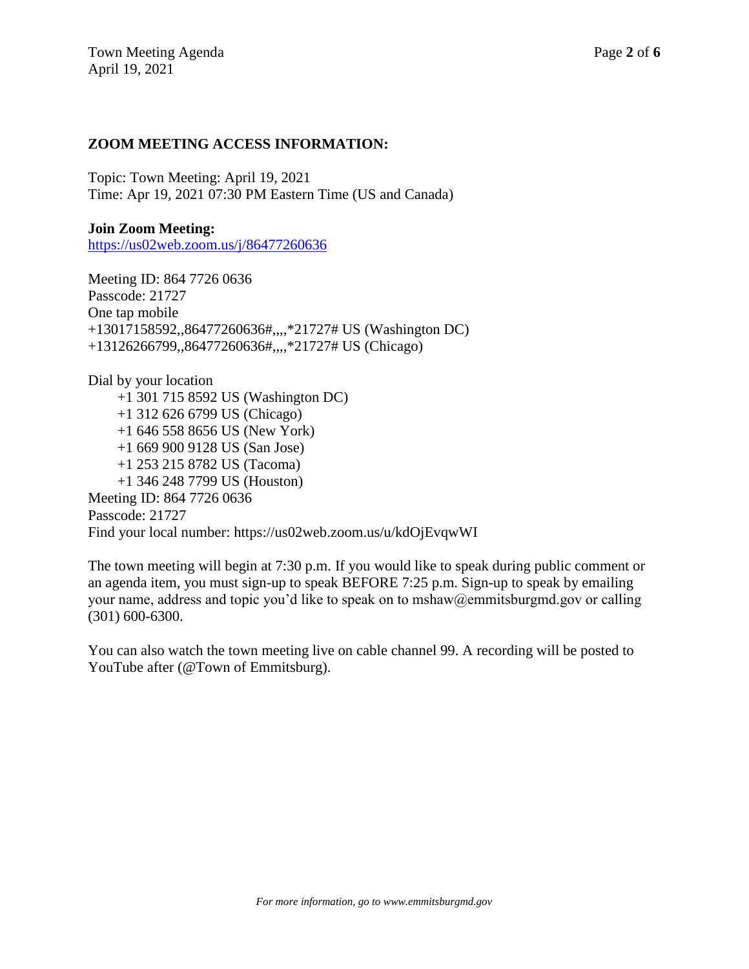## **ZOOM MEETING ACCESS INFORMATION:**

Topic: Town Meeting: April 19, 2021 Time: Apr 19, 2021 07:30 PM Eastern Time (US and Canada)

**Join Zoom Meeting:** <https://us02web.zoom.us/j/86477260636>

Meeting ID: 864 7726 0636 Passcode: 21727 One tap mobile +13017158592,,86477260636#,,,,\*21727# US (Washington DC) +13126266799,,86477260636#,,,,\*21727# US (Chicago)

Dial by your location +1 301 715 8592 US (Washington DC) +1 312 626 6799 US (Chicago) +1 646 558 8656 US (New York) +1 669 900 9128 US (San Jose) +1 253 215 8782 US (Tacoma) +1 346 248 7799 US (Houston) Meeting ID: 864 7726 0636 Passcode: 21727 Find your local number: https://us02web.zoom.us/u/kdOjEvqwWI

The town meeting will begin at 7:30 p.m. If you would like to speak during public comment or an agenda item, you must sign-up to speak BEFORE 7:25 p.m. Sign-up to speak by emailing your name, address and topic you'd like to speak on to mshaw@emmitsburgmd.gov or calling (301) 600-6300.

You can also watch the town meeting live on cable channel 99. A recording will be posted to YouTube after (@Town of Emmitsburg).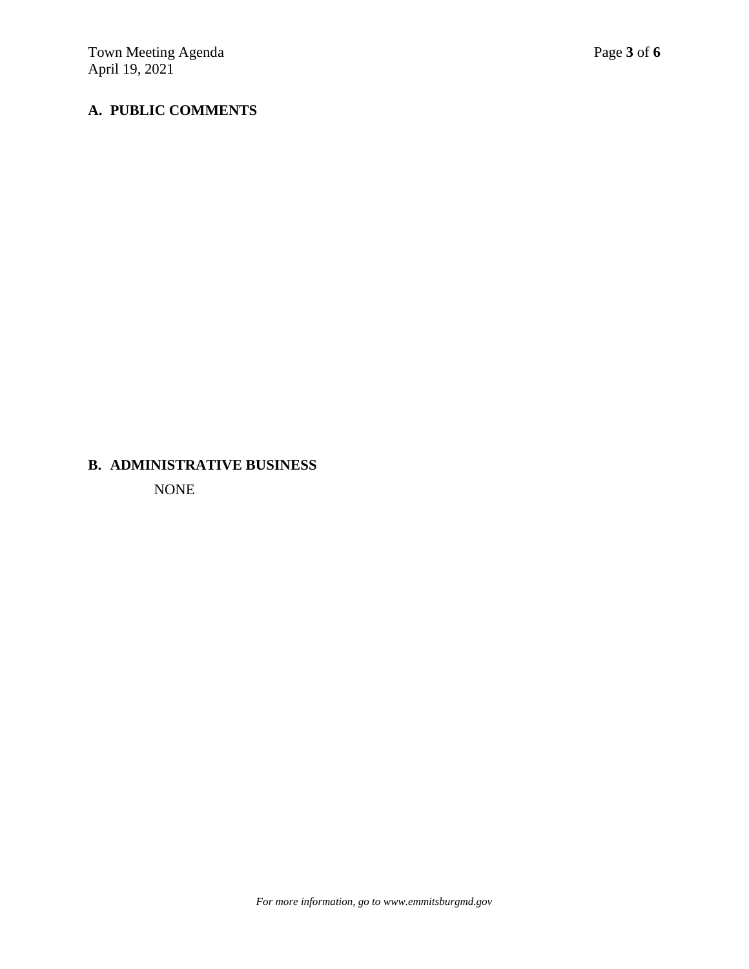# **A. PUBLIC COMMENTS**

## **B. ADMINISTRATIVE BUSINESS**

NONE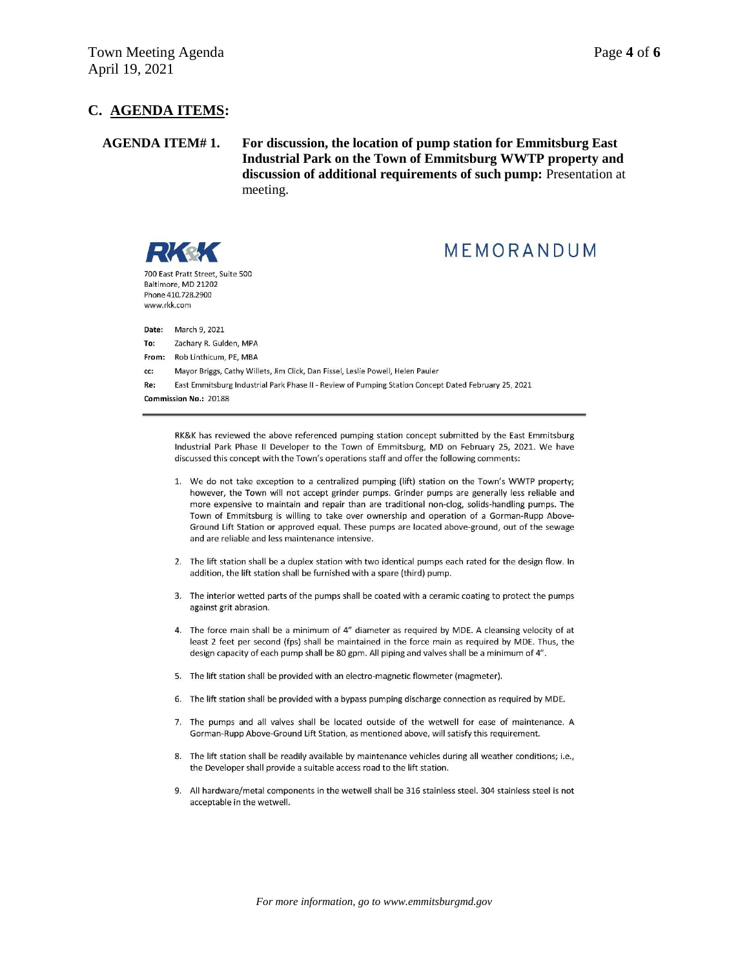#### **C. AGENDA ITEMS:**

**AGENDA ITEM# 1. For discussion, the location of pump station for Emmitsburg East Industrial Park on the Town of Emmitsburg WWTP property and discussion of additional requirements of such pump:** Presentation at meeting.



# MEMORANDUM

www.rkk.com

Date: March 9, 2021 Zachary R. Gulden, MPA To: From: Rob Linthicum, PE, MBA Mayor Briggs, Cathy Willets, Jim Click, Dan Fissel, Leslie Powell, Helen Pauler cc: East Emmitsburg Industrial Park Phase II - Review of Pumping Station Concept Dated February 25, 2021 Re: Commission No.: 20188

> RK&K has reviewed the above referenced pumping station concept submitted by the East Emmitsburg Industrial Park Phase II Developer to the Town of Emmitsburg, MD on February 25, 2021. We have discussed this concept with the Town's operations staff and offer the following comments:

- 1. We do not take exception to a centralized pumping (lift) station on the Town's WWTP property; however, the Town will not accept grinder pumps. Grinder pumps are generally less reliable and more expensive to maintain and repair than are traditional non-clog, solids-handling pumps. The Town of Emmitsburg is willing to take over ownership and operation of a Gorman-Rupp Above-Ground Lift Station or approved equal. These pumps are located above-ground, out of the sewage and are reliable and less maintenance intensive.
- 2. The lift station shall be a duplex station with two identical pumps each rated for the design flow. In addition, the lift station shall be furnished with a spare (third) pump.
- 3. The interior wetted parts of the pumps shall be coated with a ceramic coating to protect the pumps against grit abrasion.
- 4. The force main shall be a minimum of 4" diameter as required by MDE. A cleansing velocity of at least 2 feet per second (fps) shall be maintained in the force main as required by MDE. Thus, the design capacity of each pump shall be 80 gpm. All piping and valves shall be a minimum of 4".
- 5. The lift station shall be provided with an electro-magnetic flowmeter (magmeter).
- 6. The lift station shall be provided with a bypass pumping discharge connection as required by MDE.
- 7. The pumps and all valves shall be located outside of the wetwell for ease of maintenance. A Gorman-Rupp Above-Ground Lift Station, as mentioned above, will satisfy this requirement.
- 8. The lift station shall be readily available by maintenance vehicles during all weather conditions; i.e., the Developer shall provide a suitable access road to the lift station.
- 9. All hardware/metal components in the wetwell shall be 316 stainless steel. 304 stainless steel is not acceptable in the wetwell.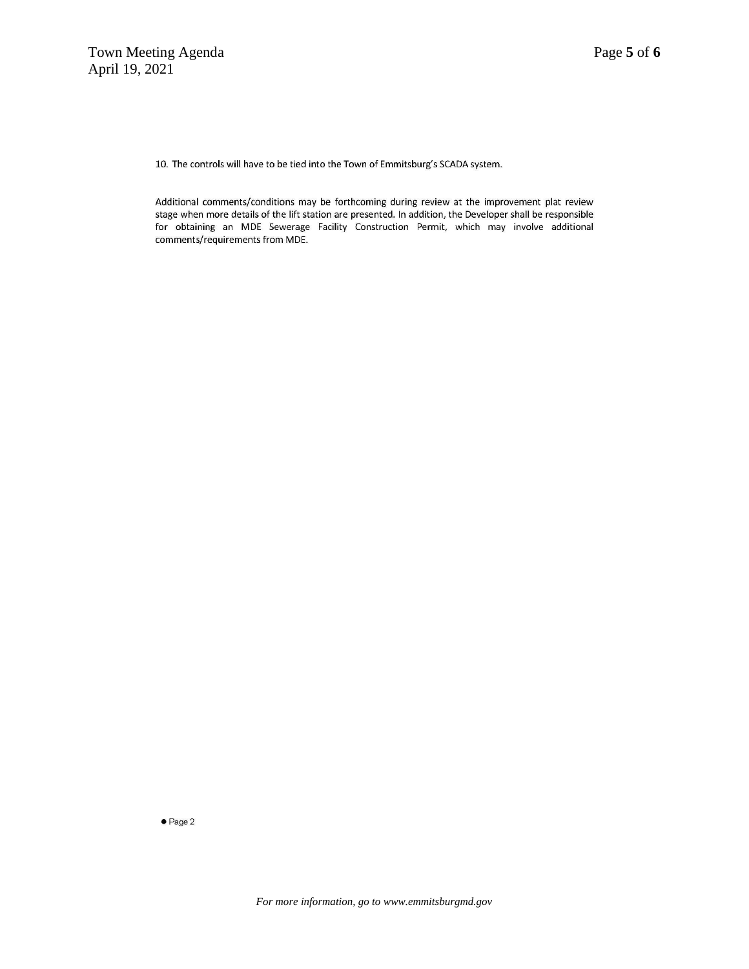10. The controls will have to be tied into the Town of Emmitsburg's SCADA system.

Additional comments/conditions may be forthcoming during review at the improvement plat review stage when more details of the lift station are presented. In addition, the Developer shall be responsible for obtaining an MDE Sewerage Facility Construction Permit, which may involve additional comments/requirements from MDE.

 $\bullet$  Page 2